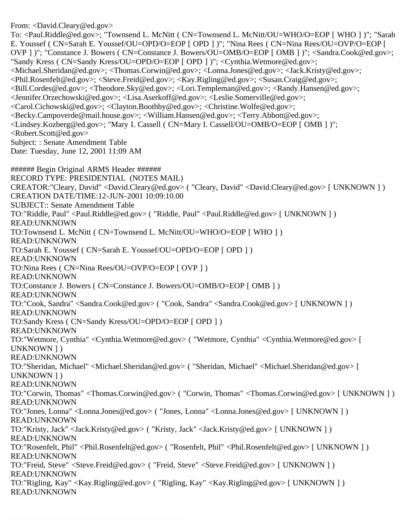From: <David.Cleary@ed.gov>

To: <Paul.Riddle@ed.gov>; "Townsend L. McNitt ( CN=Townsend L. McNitt/OU=WHO/O=EOP [ WHO ] )"; "Sarah E. Youssef ( CN=Sarah E. Youssef/OU=OPD/O=EOP [ OPD ] )"; "Nina Rees ( CN=Nina Rees/OU=OVP/O=EOP [ OVP ] )"; "Constance J. Bowers ( CN=Constance J. Bowers/OU=OMB/O=EOP [ OMB ] )"; <Sandra.Cook@ed.gov>; "Sandy Kress ( CN=Sandy Kress/OU=OPD/O=EOP [ OPD ] )"; <Cynthia.Wetmore@ed.gov>; <Michael.Sheridan@ed.gov>; <Thomas.Corwin@ed.gov>; <Lonna.Jones@ed.gov>; <Jack.Kristy@ed.gov>; <Phil.Rosenfelt@ed.gov>; <Steve.Freid@ed.gov>; <Kay.Rigling@ed.gov>; <Susan.Craig@ed.gov>; <Bill.Cordes@ed.gov>; <Theodore.Sky@ed.gov>; <Lori.Templeman@ed.gov>; <Randy.Hansen@ed.gov>; <Jennifer.Orzechowski@ed.gov>; <Lisa.Aserkoff@ed.gov>; <Leslie.Somerville@ed.gov>; <Carol.Cichowski@ed.gov>; <Clayton.Boothby@ed.gov>; <Christine.Wolfe@ed.gov>; <Becky.Campoverde@mail.house.gov>; <William.Hansen@ed.gov>; <Terry.Abbott@ed.gov>; <Lindsey.Kozberg@ed.gov>; "Mary I. Cassell ( CN=Mary I. Cassell/OU=OMB/O=EOP [ OMB ] )"; <Robert.Scott@ed.gov> Subject: : Senate Amendment Table Date: Tuesday, June 12, 2001 11:09 AM ###### Begin Original ARMS Header ######

RECORD TYPE: PRESIDENTIAL (NOTES MAIL) CREATOR:"Cleary, David" <David.Cleary@ed.gov> ( "Cleary, David" <David.Cleary@ed.gov> [ UNKNOWN ] ) CREATION DATE/TIME:12-JUN-2001 10:09:10.00 SUBJECT:: Senate Amendment Table TO:"Riddle, Paul" <Paul.Riddle@ed.gov> ( "Riddle, Paul" <Paul.Riddle@ed.gov> [ UNKNOWN ] ) READ:UNKNOWN TO:Townsend L. McNitt ( CN=Townsend L. McNitt/OU=WHO/O=EOP [ WHO ] ) READ:UNKNOWN TO:Sarah E. Youssef ( CN=Sarah E. Youssef/OU=OPD/O=EOP [ OPD ] ) READ:UNKNOWN TO:Nina Rees ( CN=Nina Rees/OU=OVP/O=EOP [ OVP ] ) READ:UNKNOWN TO:Constance J. Bowers ( CN=Constance J. Bowers/OU=OMB/O=EOP [ OMB ] ) READ:UNKNOWN TO:"Cook, Sandra" <Sandra.Cook@ed.gov> ( "Cook, Sandra" <Sandra.Cook@ed.gov> [ UNKNOWN ] ) READ:UNKNOWN TO:Sandy Kress ( CN=Sandy Kress/OU=OPD/O=EOP [ OPD ] ) READ:UNKNOWN TO:"Wetmore, Cynthia" <Cynthia.Wetmore@ed.gov> ( "Wetmore, Cynthia" <Cynthia.Wetmore@ed.gov> [ UNKNOWN ] ) READ:UNKNOWN TO:"Sheridan, Michael" <Michael.Sheridan@ed.gov> ( "Sheridan, Michael" <Michael.Sheridan@ed.gov> [ UNKNOWN ] ) READ:UNKNOWN TO:"Corwin, Thomas" <Thomas.Corwin@ed.gov> ( "Corwin, Thomas" <Thomas.Corwin@ed.gov> [ UNKNOWN ] ) READ:UNKNOWN TO:"Jones, Lonna" <Lonna.Jones@ed.gov> ( "Jones, Lonna" <Lonna.Jones@ed.gov> [ UNKNOWN ] ) READ:UNKNOWN TO:"Kristy, Jack" <Jack.Kristy@ed.gov> ( "Kristy, Jack" <Jack.Kristy@ed.gov> [ UNKNOWN ] ) READ:UNKNOWN TO:"Rosenfelt, Phil" <Phil.Rosenfelt@ed.gov> ( "Rosenfelt, Phil" <Phil.Rosenfelt@ed.gov> [ UNKNOWN ] ) READ:UNKNOWN TO:"Freid, Steve" <Steve.Freid@ed.gov> ( "Freid, Steve" <Steve.Freid@ed.gov> [ UNKNOWN ] ) READ:UNKNOWN TO:"Rigling, Kay" <Kay.Rigling@ed.gov> ( "Rigling, Kay" <Kay.Rigling@ed.gov> [ UNKNOWN ] ) READ:UNKNOWN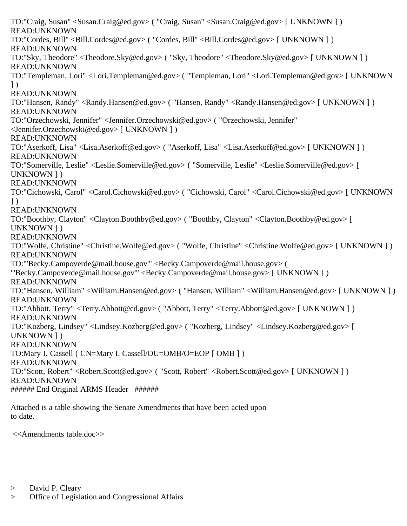TO:"Craig, Susan" <Susan.Craig@ed.gov> ( "Craig, Susan" <Susan.Craig@ed.gov> [ UNKNOWN ] ) READ:UNKNOWN TO:"Cordes, Bill" <Bill.Cordes@ed.gov> ( "Cordes, Bill" <Bill.Cordes@ed.gov> [ UNKNOWN ] ) READ:UNKNOWN TO:"Sky, Theodore" <Theodore.Sky@ed.gov> ( "Sky, Theodore" <Theodore.Sky@ed.gov> [ UNKNOWN ] ) READ:UNKNOWN TO:"Templeman, Lori" <Lori.Templeman@ed.gov> ( "Templeman, Lori" <Lori.Templeman@ed.gov> [ UNKNOWN ] ) READ:UNKNOWN TO:"Hansen, Randy" <Randy.Hansen@ed.gov> ( "Hansen, Randy" <Randy.Hansen@ed.gov> [ UNKNOWN ] ) READ:UNKNOWN TO:"Orzechowski, Jennifer" <Jennifer.Orzechowski@ed.gov> ( "Orzechowski, Jennifer" <Jennifer.Orzechowski@ed.gov> [ UNKNOWN ] ) READ:UNKNOWN TO:"Aserkoff, Lisa" <Lisa.Aserkoff@ed.gov> ( "Aserkoff, Lisa" <Lisa.Aserkoff@ed.gov> [ UNKNOWN ] ) READ:UNKNOWN TO:"Somerville, Leslie" <Leslie.Somerville@ed.gov> ( "Somerville, Leslie" <Leslie.Somerville@ed.gov> [ UNKNOWN ] ) READ:UNKNOWN TO:"Cichowski, Carol" <Carol.Cichowski@ed.gov> ( "Cichowski, Carol" <Carol.Cichowski@ed.gov> [ UNKNOWN ] ) READ:UNKNOWN TO:"Boothby, Clayton" <Clayton.Boothby@ed.gov> ( "Boothby, Clayton" <Clayton.Boothby@ed.gov> [ UNKNOWN ] ) READ:UNKNOWN TO:"Wolfe, Christine" <Christine.Wolfe@ed.gov> ( "Wolfe, Christine" <Christine.Wolfe@ed.gov> [ UNKNOWN ] ) READ:UNKNOWN TO:"'Becky.Campoverde@mail.house.gov'" <Becky.Campoverde@mail.house.gov> ( "'Becky.Campoverde@mail.house.gov'" <Becky.Campoverde@mail.house.gov> [ UNKNOWN ] ) READ:UNKNOWN TO:"Hansen, William" <William.Hansen@ed.gov> ( "Hansen, William" <William.Hansen@ed.gov> [ UNKNOWN ] ) READ:UNKNOWN TO:"Abbott, Terry" <Terry.Abbott@ed.gov> ( "Abbott, Terry" <Terry.Abbott@ed.gov> [ UNKNOWN ] ) READ:UNKNOWN TO:"Kozberg, Lindsey" <Lindsey.Kozberg@ed.gov> ( "Kozberg, Lindsey" <Lindsey.Kozberg@ed.gov> [ UNKNOWN ] ) READ:UNKNOWN TO:Mary I. Cassell ( CN=Mary I. Cassell/OU=OMB/O=EOP [ OMB ] ) READ:UNKNOWN TO:"Scott, Robert" <Robert.Scott@ed.gov> ( "Scott, Robert" <Robert.Scott@ed.gov> [ UNKNOWN ] ) READ:UNKNOWN ###### End Original ARMS Header ######

Attached is a table showing the Senate Amendments that have been acted upon to date.

<<Amendments table.doc>>

- > David P. Cleary
- > Office of Legislation and Congressional Affairs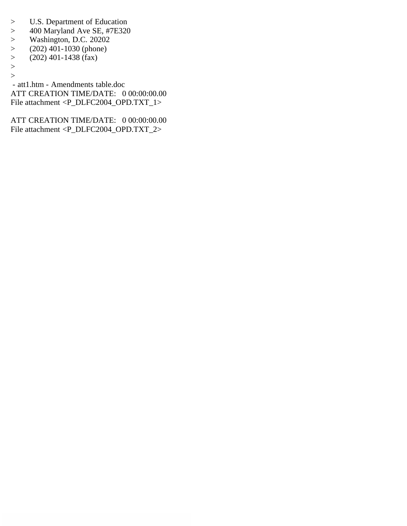- > U.S. Department of Education
- > 400 Maryland Ave SE, #7E320<br>> Washington, D.C. 20202
- 
- > Washington, D.C. 20202<br>> (202) 401-1030 (phone)  $(202)$  401-1030 (phone)
- $>$  (202) 401-1438 (fax)
- >
- $\geq$

 - att1.htm - Amendments table.doc ATT CREATION TIME/DATE: 0 00:00:00.00 File attachment <P\_DLFC2004\_OPD.TXT\_1>

ATT CREATION TIME/DATE: 0 00:00:00.00 File attachment <P\_DLFC2004\_OPD.TXT\_2>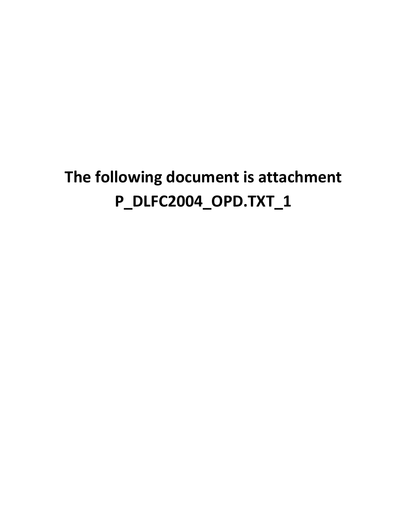## **The following document is attachment P\_DLFC2004\_OPD.TXT\_1**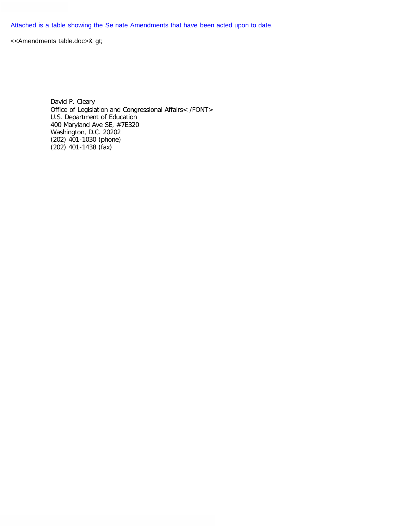Attached is a table showing the Se nate Amendments that have been acted upon to date.

<<Amendments table.doc>& gt;

David P. Cleary Office of Legislation and Congressional Affairs< /FONT> U.S. Department of Education 400 Maryland Ave SE, #7E320 Washington, D.C. 20202 (202) 401-1030 (phone)  $(202)$  401-1438 (fax)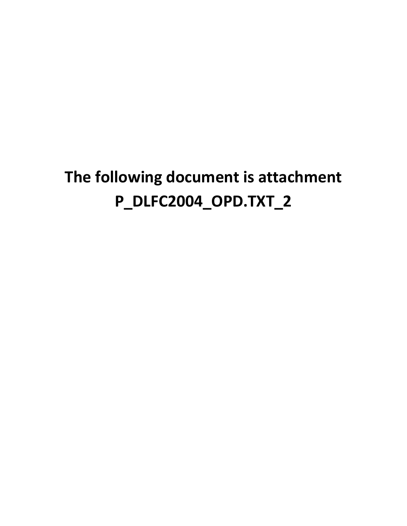## **The following document is attachment P\_DLFC2004\_OPD.TXT\_2**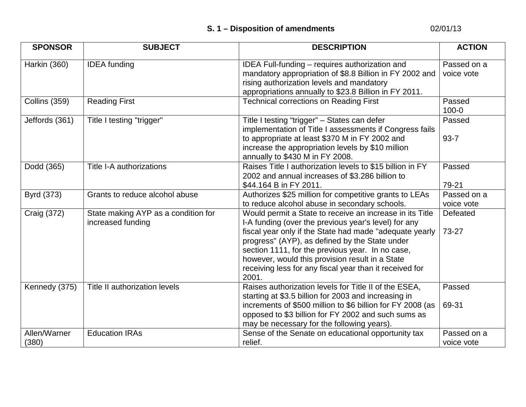## **S. 1 – Disposition of amendments** 02/01/13

| <b>SPONSOR</b>        | <b>SUBJECT</b>                                           | <b>DESCRIPTION</b>                                                                                                                                                                                                                                                                                                                                                                                       | <b>ACTION</b>             |
|-----------------------|----------------------------------------------------------|----------------------------------------------------------------------------------------------------------------------------------------------------------------------------------------------------------------------------------------------------------------------------------------------------------------------------------------------------------------------------------------------------------|---------------------------|
| Harkin (360)          | <b>IDEA</b> funding                                      | IDEA Full-funding - requires authorization and<br>mandatory appropriation of \$8.8 Billion in FY 2002 and<br>rising authorization levels and mandatory<br>appropriations annually to \$23.8 Billion in FY 2011.                                                                                                                                                                                          | Passed on a<br>voice vote |
| Collins (359)         | <b>Reading First</b>                                     | <b>Technical corrections on Reading First</b>                                                                                                                                                                                                                                                                                                                                                            | Passed<br>$100 - 0$       |
| Jeffords (361)        | Title I testing "trigger"                                | Title I testing "trigger" - States can defer<br>implementation of Title I assessments if Congress fails<br>to appropriate at least \$370 M in FY 2002 and<br>increase the appropriation levels by \$10 million<br>annually to \$430 M in FY 2008.                                                                                                                                                        | Passed<br>$93 - 7$        |
| Dodd (365)            | Title I-A authorizations                                 | Raises Title I authorization levels to \$15 billion in FY<br>2002 and annual increases of \$3.286 billion to<br>\$44.164 B in FY 2011.                                                                                                                                                                                                                                                                   | Passed<br>79-21           |
| Byrd (373)            | Grants to reduce alcohol abuse                           | Authorizes \$25 million for competitive grants to LEAs<br>to reduce alcohol abuse in secondary schools.                                                                                                                                                                                                                                                                                                  | Passed on a<br>voice vote |
| Craig (372)           | State making AYP as a condition for<br>increased funding | Would permit a State to receive an increase in its Title<br>I-A funding (over the previous year's level) for any<br>fiscal year only if the State had made "adequate yearly<br>progress" (AYP), as defined by the State under<br>section 1111, for the previous year. In no case,<br>however, would this provision result in a State<br>receiving less for any fiscal year than it received for<br>2001. | Defeated<br>73-27         |
| Kennedy (375)         | Title II authorization levels                            | Raises authorization levels for Title II of the ESEA,<br>starting at \$3.5 billion for 2003 and increasing in<br>increments of \$500 million to \$6 billion for FY 2008 (as<br>opposed to \$3 billion for FY 2002 and such sums as<br>may be necessary for the following years).                                                                                                                         | Passed<br>69-31           |
| Allen/Warner<br>(380) | <b>Education IRAs</b>                                    | Sense of the Senate on educational opportunity tax<br>relief.                                                                                                                                                                                                                                                                                                                                            | Passed on a<br>voice vote |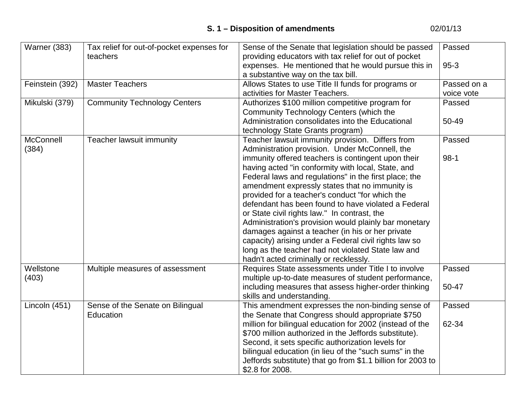| Warner (383)       | Tax relief for out-of-pocket expenses for     | Sense of the Senate that legislation should be passed                                                                                                                                                                                                                                                                                                                                                                               | Passed                    |
|--------------------|-----------------------------------------------|-------------------------------------------------------------------------------------------------------------------------------------------------------------------------------------------------------------------------------------------------------------------------------------------------------------------------------------------------------------------------------------------------------------------------------------|---------------------------|
|                    | teachers                                      | providing educators with tax relief for out of pocket<br>expenses. He mentioned that he would pursue this in<br>a substantive way on the tax bill.                                                                                                                                                                                                                                                                                  | $95-3$                    |
| Feinstein (392)    | <b>Master Teachers</b>                        | Allows States to use Title II funds for programs or<br>activities for Master Teachers.                                                                                                                                                                                                                                                                                                                                              | Passed on a<br>voice vote |
| Mikulski (379)     | <b>Community Technology Centers</b>           | Authorizes \$100 million competitive program for<br>Community Technology Centers (which the                                                                                                                                                                                                                                                                                                                                         | Passed                    |
|                    |                                               | Administration consolidates into the Educational<br>technology State Grants program)                                                                                                                                                                                                                                                                                                                                                | 50-49                     |
| McConnell<br>(384) | Teacher lawsuit immunity                      | Teacher lawsuit immunity provision. Differs from<br>Administration provision. Under McConnell, the<br>immunity offered teachers is contingent upon their<br>having acted "in conformity with local, State, and<br>Federal laws and regulations" in the first place; the<br>amendment expressly states that no immunity is<br>provided for a teacher's conduct "for which the<br>defendant has been found to have violated a Federal | Passed<br>$98-1$          |
|                    |                                               | or State civil rights law." In contrast, the<br>Administration's provision would plainly bar monetary<br>damages against a teacher (in his or her private<br>capacity) arising under a Federal civil rights law so<br>long as the teacher had not violated State law and<br>hadn't acted criminally or recklessly.                                                                                                                  |                           |
| Wellstone<br>(403) | Multiple measures of assessment               | Requires State assessments under Title I to involve<br>multiple up-to-date measures of student performance,<br>including measures that assess higher-order thinking<br>skills and understanding.                                                                                                                                                                                                                                    | Passed<br>50-47           |
| Lincoln (451)      | Sense of the Senate on Bilingual<br>Education | This amendment expresses the non-binding sense of<br>the Senate that Congress should appropriate \$750<br>million for bilingual education for 2002 (instead of the<br>\$700 million authorized in the Jeffords substitute).<br>Second, it sets specific authorization levels for<br>bilingual education (in lieu of the "such sums" in the<br>Jeffords substitute) that go from \$1.1 billion for 2003 to<br>\$2.8 for 2008.        | Passed<br>62-34           |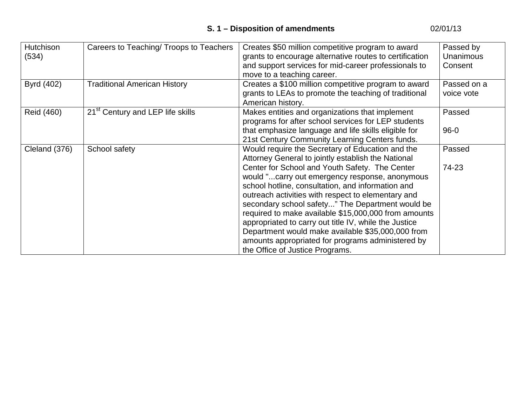| <b>Hutchison</b><br>(534) | Careers to Teaching/ Troops to Teachers      | Creates \$50 million competitive program to award<br>grants to encourage alternative routes to certification<br>and support services for mid-career professionals to<br>move to a teaching career.                                                                                                                                                                                                                                                                                                                            | Passed by<br><b>Unanimous</b><br>Consent |
|---------------------------|----------------------------------------------|-------------------------------------------------------------------------------------------------------------------------------------------------------------------------------------------------------------------------------------------------------------------------------------------------------------------------------------------------------------------------------------------------------------------------------------------------------------------------------------------------------------------------------|------------------------------------------|
| Byrd (402)                | <b>Traditional American History</b>          | Creates a \$100 million competitive program to award<br>grants to LEAs to promote the teaching of traditional<br>American history.                                                                                                                                                                                                                                                                                                                                                                                            | Passed on a<br>voice vote                |
| Reid (460)                | 21 <sup>st</sup> Century and LEP life skills | Makes entities and organizations that implement<br>programs for after school services for LEP students<br>that emphasize language and life skills eligible for<br>21st Century Community Learning Centers funds.                                                                                                                                                                                                                                                                                                              | Passed<br>$96 - 0$                       |
| Cleland (376)             | School safety                                | Would require the Secretary of Education and the<br>Attorney General to jointly establish the National                                                                                                                                                                                                                                                                                                                                                                                                                        | Passed                                   |
|                           |                                              | Center for School and Youth Safety. The Center<br>would "carry out emergency response, anonymous<br>school hotline, consultation, and information and<br>outreach activities with respect to elementary and<br>secondary school safety" The Department would be<br>required to make available \$15,000,000 from amounts<br>appropriated to carry out title IV, while the Justice<br>Department would make available \$35,000,000 from<br>amounts appropriated for programs administered by<br>the Office of Justice Programs. | 74-23                                    |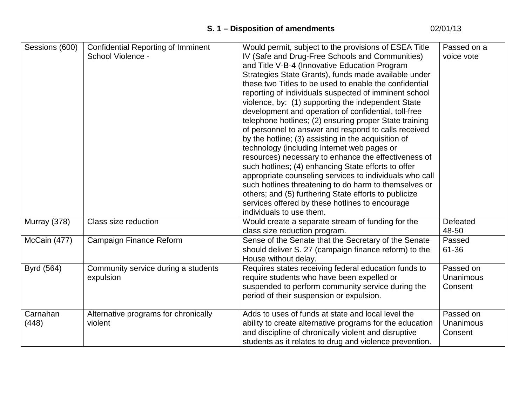| Sessions (600) | <b>Confidential Reporting of Imminent</b> | Would permit, subject to the provisions of ESEA Title    | Passed on a      |
|----------------|-------------------------------------------|----------------------------------------------------------|------------------|
|                | School Violence -                         | IV (Safe and Drug-Free Schools and Communities)          | voice vote       |
|                |                                           | and Title V-B-4 (Innovative Education Program            |                  |
|                |                                           | Strategies State Grants), funds made available under     |                  |
|                |                                           | these two Titles to be used to enable the confidential   |                  |
|                |                                           | reporting of individuals suspected of imminent school    |                  |
|                |                                           | violence, by: (1) supporting the independent State       |                  |
|                |                                           | development and operation of confidential, toll-free     |                  |
|                |                                           | telephone hotlines; (2) ensuring proper State training   |                  |
|                |                                           | of personnel to answer and respond to calls received     |                  |
|                |                                           | by the hotline; (3) assisting in the acquisition of      |                  |
|                |                                           | technology (including Internet web pages or              |                  |
|                |                                           | resources) necessary to enhance the effectiveness of     |                  |
|                |                                           | such hotlines; (4) enhancing State efforts to offer      |                  |
|                |                                           | appropriate counseling services to individuals who call  |                  |
|                |                                           | such hotlines threatening to do harm to themselves or    |                  |
|                |                                           | others; and (5) furthering State efforts to publicize    |                  |
|                |                                           | services offered by these hotlines to encourage          |                  |
|                |                                           | individuals to use them.                                 |                  |
| Murray (378)   | Class size reduction                      | Would create a separate stream of funding for the        | Defeated         |
|                |                                           | class size reduction program.                            | 48-50            |
| McCain (477)   | <b>Campaign Finance Reform</b>            | Sense of the Senate that the Secretary of the Senate     | Passed           |
|                |                                           | should deliver S. 27 (campaign finance reform) to the    | 61-36            |
|                |                                           | House without delay.                                     |                  |
| Byrd (564)     | Community service during a students       | Requires states receiving federal education funds to     | Passed on        |
|                | expulsion                                 | require students who have been expelled or               | <b>Unanimous</b> |
|                |                                           | suspended to perform community service during the        | Consent          |
|                |                                           | period of their suspension or expulsion.                 |                  |
| Carnahan       | Alternative programs for chronically      | Adds to uses of funds at state and local level the       | Passed on        |
| (448)          | violent                                   | ability to create alternative programs for the education | Unanimous        |
|                |                                           | and discipline of chronically violent and disruptive     | Consent          |
|                |                                           | students as it relates to drug and violence prevention.  |                  |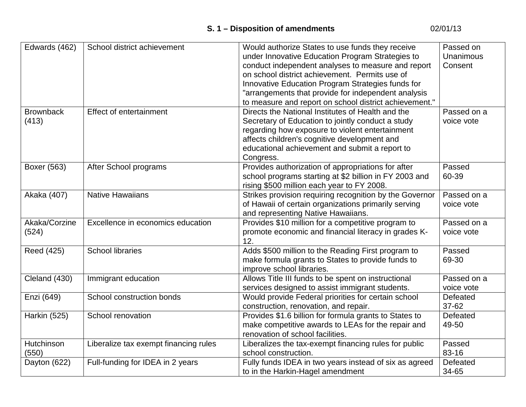## **S. 1 – Disposition of amendments** 02/01/13

| Edwards (462)    | School district achievement           | Would authorize States to use funds they receive        | Passed on   |
|------------------|---------------------------------------|---------------------------------------------------------|-------------|
|                  |                                       | under Innovative Education Program Strategies to        | Unanimous   |
|                  |                                       | conduct independent analyses to measure and report      | Consent     |
|                  |                                       | on school district achievement. Permits use of          |             |
|                  |                                       | Innovative Education Program Strategies funds for       |             |
|                  |                                       | "arrangements that provide for independent analysis     |             |
|                  |                                       | to measure and report on school district achievement."  |             |
| <b>Brownback</b> | <b>Effect of entertainment</b>        | Directs the National Institutes of Health and the       | Passed on a |
| (413)            |                                       | Secretary of Education to jointly conduct a study       | voice vote  |
|                  |                                       | regarding how exposure to violent entertainment         |             |
|                  |                                       | affects children's cognitive development and            |             |
|                  |                                       | educational achievement and submit a report to          |             |
|                  |                                       | Congress.                                               |             |
| Boxer (563)      | After School programs                 | Provides authorization of appropriations for after      | Passed      |
|                  |                                       | school programs starting at \$2 billion in FY 2003 and  | 60-39       |
|                  |                                       | rising \$500 million each year to FY 2008.              |             |
| Akaka (407)      | <b>Native Hawaiians</b>               | Strikes provision requiring recognition by the Governor | Passed on a |
|                  |                                       | of Hawaii of certain organizations primarily serving    | voice vote  |
|                  |                                       | and representing Native Hawaiians.                      |             |
| Akaka/Corzine    | Excellence in economics education     | Provides \$10 million for a competitive program to      | Passed on a |
| (524)            |                                       | promote economic and financial literacy in grades K-    | voice vote  |
|                  |                                       | 12.                                                     |             |
| Reed (425)       | <b>School libraries</b>               | Adds \$500 million to the Reading First program to      | Passed      |
|                  |                                       | make formula grants to States to provide funds to       | 69-30       |
|                  |                                       | improve school libraries.                               |             |
| Cleland (430)    | Immigrant education                   | Allows Title III funds to be spent on instructional     | Passed on a |
|                  |                                       | services designed to assist immigrant students.         | voice vote  |
| Enzi (649)       | School construction bonds             | Would provide Federal priorities for certain school     | Defeated    |
|                  |                                       | construction, renovation, and repair.                   | 37-62       |
| Harkin (525)     | School renovation                     | Provides \$1.6 billion for formula grants to States to  | Defeated    |
|                  |                                       | make competitive awards to LEAs for the repair and      | 49-50       |
|                  |                                       | renovation of school facilities.                        |             |
| Hutchinson       | Liberalize tax exempt financing rules | Liberalizes the tax-exempt financing rules for public   | Passed      |
| (550)            |                                       | school construction.                                    | 83-16       |
| Dayton (622)     | Full-funding for IDEA in 2 years      | Fully funds IDEA in two years instead of six as agreed  | Defeated    |
|                  |                                       | to in the Harkin-Hagel amendment                        | 34-65       |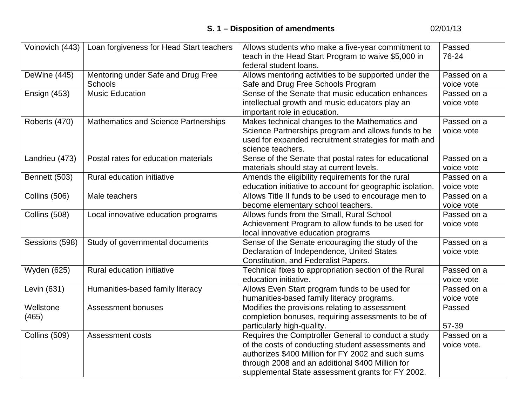| Voinovich (443)    | Loan forgiveness for Head Start teachers | Allows students who make a five-year commitment to        | Passed      |
|--------------------|------------------------------------------|-----------------------------------------------------------|-------------|
|                    |                                          | teach in the Head Start Program to waive \$5,000 in       | 76-24       |
|                    |                                          | federal student loans.                                    |             |
| DeWine (445)       | Mentoring under Safe and Drug Free       | Allows mentoring activities to be supported under the     | Passed on a |
|                    | <b>Schools</b>                           | Safe and Drug Free Schools Program                        | voice vote  |
| Ensign (453)       | <b>Music Education</b>                   | Sense of the Senate that music education enhances         | Passed on a |
|                    |                                          | intellectual growth and music educators play an           | voice vote  |
|                    |                                          | important role in education.                              |             |
| Roberts (470)      | Mathematics and Science Partnerships     | Makes technical changes to the Mathematics and            | Passed on a |
|                    |                                          | Science Partnerships program and allows funds to be       | voice vote  |
|                    |                                          | used for expanded recruitment strategies for math and     |             |
|                    |                                          | science teachers.                                         |             |
| Landrieu (473)     | Postal rates for education materials     | Sense of the Senate that postal rates for educational     | Passed on a |
|                    |                                          | materials should stay at current levels.                  | voice vote  |
| Bennett (503)      | Rural education initiative               | Amends the eligibility requirements for the rural         | Passed on a |
|                    |                                          | education initiative to account for geographic isolation. | voice vote  |
| Collins (506)      | Male teachers                            | Allows Title II funds to be used to encourage men to      | Passed on a |
|                    |                                          | become elementary school teachers.                        | voice vote  |
| Collins (508)      | Local innovative education programs      | Allows funds from the Small, Rural School                 | Passed on a |
|                    |                                          | Achievement Program to allow funds to be used for         | voice vote  |
|                    |                                          | local innovative education programs                       |             |
| Sessions (598)     | Study of governmental documents          | Sense of the Senate encouraging the study of the          | Passed on a |
|                    |                                          | Declaration of Independence, United States                | voice vote  |
|                    |                                          | Constitution, and Federalist Papers.                      |             |
| <b>Wyden (625)</b> | Rural education initiative               | Technical fixes to appropriation section of the Rural     | Passed on a |
|                    |                                          | education initiative.                                     | voice vote  |
| Levin (631)        | Humanities-based family literacy         | Allows Even Start program funds to be used for            | Passed on a |
|                    |                                          | humanities-based family literacy programs.                | voice vote  |
| Wellstone          | <b>Assessment bonuses</b>                | Modifies the provisions relating to assessment            | Passed      |
| (465)              |                                          | completion bonuses, requiring assessments to be of        |             |
|                    |                                          | particularly high-quality.                                | 57-39       |
| Collins (509)      | <b>Assessment costs</b>                  | Requires the Comptroller General to conduct a study       | Passed on a |
|                    |                                          | of the costs of conducting student assessments and        | voice vote. |
|                    |                                          | authorizes \$400 Million for FY 2002 and such sums        |             |
|                    |                                          | through 2008 and an additional \$400 Million for          |             |
|                    |                                          | supplemental State assessment grants for FY 2002.         |             |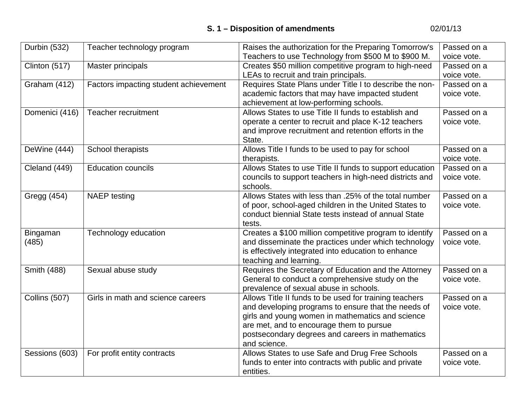| Durbin (532)   | Teacher technology program            | Raises the authorization for the Preparing Tomorrow's                                        | Passed on a |
|----------------|---------------------------------------|----------------------------------------------------------------------------------------------|-------------|
|                |                                       | Teachers to use Technology from \$500 M to \$900 M.                                          | voice vote. |
| Clinton (517)  | <b>Master principals</b>              | Creates \$50 million competitive program to high-need                                        | Passed on a |
|                |                                       | LEAs to recruit and train principals.                                                        | voice vote. |
| Graham (412)   | Factors impacting student achievement | Requires State Plans under Title I to describe the non-                                      | Passed on a |
|                |                                       | academic factors that may have impacted student                                              | voice vote. |
|                |                                       | achievement at low-performing schools.                                                       |             |
| Domenici (416) | <b>Teacher recruitment</b>            | Allows States to use Title II funds to establish and                                         | Passed on a |
|                |                                       | operate a center to recruit and place K-12 teachers                                          | voice vote. |
|                |                                       | and improve recruitment and retention efforts in the                                         |             |
|                |                                       | State.                                                                                       |             |
| DeWine (444)   | School therapists                     | Allows Title I funds to be used to pay for school                                            | Passed on a |
|                |                                       | therapists.                                                                                  | voice vote. |
| Cleland (449)  | <b>Education councils</b>             | Allows States to use Title II funds to support education                                     | Passed on a |
|                |                                       | councils to support teachers in high-need districts and                                      | voice vote. |
|                |                                       | schools.                                                                                     |             |
| Gregg (454)    | <b>NAEP</b> testing                   | Allows States with less than .25% of the total number                                        | Passed on a |
|                |                                       | of poor, school-aged children in the United States to                                        | voice vote. |
|                |                                       | conduct biennial State tests instead of annual State                                         |             |
|                |                                       | tests.                                                                                       |             |
| Bingaman       | Technology education                  | Creates a \$100 million competitive program to identify                                      | Passed on a |
| (485)          |                                       | and disseminate the practices under which technology                                         | voice vote. |
|                |                                       | is effectively integrated into education to enhance                                          |             |
|                |                                       | teaching and learning.                                                                       |             |
| Smith (488)    | Sexual abuse study                    | Requires the Secretary of Education and the Attorney                                         | Passed on a |
|                |                                       | General to conduct a comprehensive study on the                                              | voice vote. |
|                |                                       | prevalence of sexual abuse in schools.                                                       | Passed on a |
| Collins (507)  | Girls in math and science careers     | Allows Title II funds to be used for training teachers                                       | voice vote. |
|                |                                       | and developing programs to ensure that the needs of                                          |             |
|                |                                       | girls and young women in mathematics and science<br>are met, and to encourage them to pursue |             |
|                |                                       | postsecondary degrees and careers in mathematics                                             |             |
|                |                                       | and science.                                                                                 |             |
| Sessions (603) | For profit entity contracts           | Allows States to use Safe and Drug Free Schools                                              | Passed on a |
|                |                                       | funds to enter into contracts with public and private                                        | voice vote. |
|                |                                       | entities.                                                                                    |             |
|                |                                       |                                                                                              |             |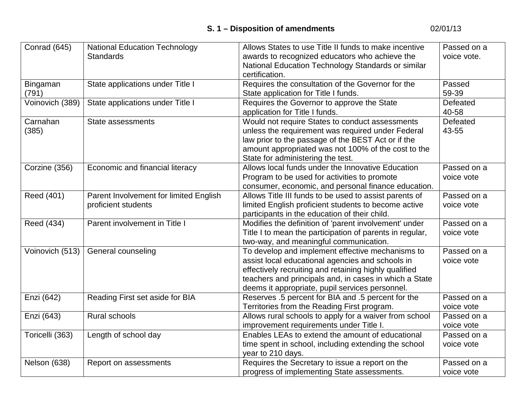| Conrad (645)    | <b>National Education Technology</b>   | Allows States to use Title II funds to make incentive    | Passed on a |
|-----------------|----------------------------------------|----------------------------------------------------------|-------------|
|                 | <b>Standards</b>                       | awards to recognized educators who achieve the           | voice vote. |
|                 |                                        | National Education Technology Standards or similar       |             |
|                 |                                        | certification.                                           |             |
| Bingaman        | State applications under Title I       | Requires the consultation of the Governor for the        | Passed      |
| (791)           |                                        | State application for Title I funds.                     | 59-39       |
| Voinovich (389) | State applications under Title I       | Requires the Governor to approve the State               | Defeated    |
|                 |                                        | application for Title I funds.                           | 40-58       |
| Carnahan        | State assessments                      | Would not require States to conduct assessments          | Defeated    |
| (385)           |                                        | unless the requirement was required under Federal        | 43-55       |
|                 |                                        | law prior to the passage of the BEST Act or if the       |             |
|                 |                                        | amount appropriated was not 100% of the cost to the      |             |
|                 |                                        | State for administering the test.                        |             |
| Corzine (356)   | Economic and financial literacy        | Allows local funds under the Innovative Education        | Passed on a |
|                 |                                        | Program to be used for activities to promote             | voice vote  |
|                 |                                        | consumer, economic, and personal finance education.      |             |
| Reed (401)      | Parent Involvement for limited English | Allows Title III funds to be used to assist parents of   | Passed on a |
|                 | proficient students                    | limited English proficient students to become active     | voice vote  |
|                 |                                        | participants in the education of their child.            |             |
| Reed (434)      | Parent involvement in Title I          | Modifies the definition of 'parent involvement' under    | Passed on a |
|                 |                                        | Title I to mean the participation of parents in regular, | voice vote  |
|                 |                                        | two-way, and meaningful communication.                   |             |
| Voinovich (513) | General counseling                     | To develop and implement effective mechanisms to         | Passed on a |
|                 |                                        | assist local educational agencies and schools in         | voice vote  |
|                 |                                        | effectively recruiting and retaining highly qualified    |             |
|                 |                                        | teachers and principals and, in cases in which a State   |             |
|                 |                                        | deems it appropriate, pupil services personnel.          |             |
| Enzi (642)      | Reading First set aside for BIA        | Reserves .5 percent for BIA and .5 percent for the       | Passed on a |
|                 |                                        | Territories from the Reading First program.              | voice vote  |
| Enzi (643)      | Rural schools                          | Allows rural schools to apply for a waiver from school   | Passed on a |
|                 |                                        | improvement requirements under Title I.                  | voice vote  |
| Toricelli (363) | Length of school day                   | Enables LEAs to extend the amount of educational         | Passed on a |
|                 |                                        | time spent in school, including extending the school     | voice vote  |
|                 |                                        | year to 210 days.                                        |             |
| Nelson (638)    | Report on assessments                  | Requires the Secretary to issue a report on the          | Passed on a |
|                 |                                        | progress of implementing State assessments.              | voice vote  |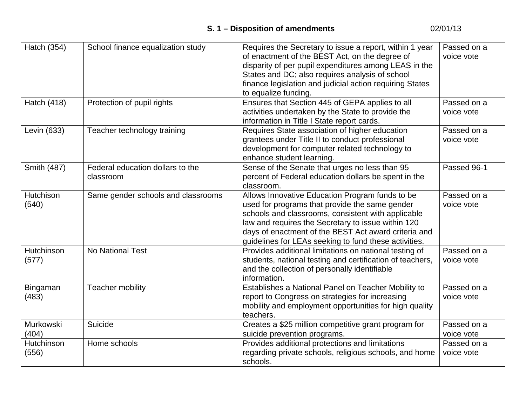| Hatch (354)         | School finance equalization study             | Requires the Secretary to issue a report, within 1 year<br>of enactment of the BEST Act, on the degree of<br>disparity of per pupil expenditures among LEAS in the<br>States and DC; also requires analysis of school<br>finance legislation and judicial action requiring States<br>to equalize funding.                      | Passed on a<br>voice vote |
|---------------------|-----------------------------------------------|--------------------------------------------------------------------------------------------------------------------------------------------------------------------------------------------------------------------------------------------------------------------------------------------------------------------------------|---------------------------|
| Hatch (418)         | Protection of pupil rights                    | Ensures that Section 445 of GEPA applies to all<br>activities undertaken by the State to provide the<br>information in Title I State report cards.                                                                                                                                                                             | Passed on a<br>voice vote |
| Levin (633)         | Teacher technology training                   | Requires State association of higher education<br>grantees under Title II to conduct professional<br>development for computer related technology to<br>enhance student learning.                                                                                                                                               | Passed on a<br>voice vote |
| Smith (487)         | Federal education dollars to the<br>classroom | Sense of the Senate that urges no less than 95<br>percent of Federal education dollars be spent in the<br>classroom.                                                                                                                                                                                                           | Passed 96-1               |
| Hutchison<br>(540)  | Same gender schools and classrooms            | Allows Innovative Education Program funds to be<br>used for programs that provide the same gender<br>schools and classrooms, consistent with applicable<br>law and requires the Secretary to issue within 120<br>days of enactment of the BEST Act award criteria and<br>guidelines for LEAs seeking to fund these activities. | Passed on a<br>voice vote |
| Hutchinson<br>(577) | No National Test                              | Provides additional limitations on national testing of<br>students, national testing and certification of teachers,<br>and the collection of personally identifiable<br>information.                                                                                                                                           | Passed on a<br>voice vote |
| Bingaman<br>(483)   | Teacher mobility                              | Establishes a National Panel on Teacher Mobility to<br>report to Congress on strategies for increasing<br>mobility and employment opportunities for high quality<br>teachers.                                                                                                                                                  | Passed on a<br>voice vote |
| Murkowski<br>(404)  | Suicide                                       | Creates a \$25 million competitive grant program for<br>suicide prevention programs.                                                                                                                                                                                                                                           | Passed on a<br>voice vote |
| Hutchinson<br>(556) | Home schools                                  | Provides additional protections and limitations<br>regarding private schools, religious schools, and home<br>schools.                                                                                                                                                                                                          | Passed on a<br>voice vote |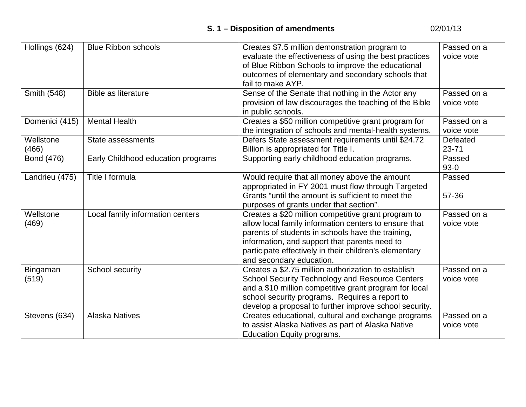| Hollings (624) | <b>Blue Ribbon schools</b>         | Creates \$7.5 million demonstration program to         | Passed on a |
|----------------|------------------------------------|--------------------------------------------------------|-------------|
|                |                                    | evaluate the effectiveness of using the best practices | voice vote  |
|                |                                    | of Blue Ribbon Schools to improve the educational      |             |
|                |                                    | outcomes of elementary and secondary schools that      |             |
|                |                                    | fail to make AYP.                                      |             |
| Smith (548)    | <b>Bible as literature</b>         | Sense of the Senate that nothing in the Actor any      | Passed on a |
|                |                                    | provision of law discourages the teaching of the Bible | voice vote  |
|                |                                    | in public schools.                                     |             |
| Domenici (415) | <b>Mental Health</b>               | Creates a \$50 million competitive grant program for   | Passed on a |
|                |                                    | the integration of schools and mental-health systems.  | voice vote  |
| Wellstone      | State assessments                  | Defers State assessment requirements until \$24.72     | Defeated    |
| (466)          |                                    | Billion is appropriated for Title I.                   | $23 - 71$   |
| Bond (476)     | Early Childhood education programs | Supporting early childhood education programs.         | Passed      |
|                |                                    |                                                        | $93-0$      |
| Landrieu (475) | Title I formula                    | Would require that all money above the amount          | Passed      |
|                |                                    | appropriated in FY 2001 must flow through Targeted     |             |
|                |                                    | Grants "until the amount is sufficient to meet the     | 57-36       |
|                |                                    | purposes of grants under that section".                |             |
| Wellstone      | Local family information centers   | Creates a \$20 million competitive grant program to    | Passed on a |
| (469)          |                                    | allow local family information centers to ensure that  | voice vote  |
|                |                                    | parents of students in schools have the training,      |             |
|                |                                    | information, and support that parents need to          |             |
|                |                                    | participate effectively in their children's elementary |             |
|                |                                    | and secondary education.                               |             |
| Bingaman       | School security                    | Creates a \$2.75 million authorization to establish    | Passed on a |
| (519)          |                                    | <b>School Security Technology and Resource Centers</b> | voice vote  |
|                |                                    | and a \$10 million competitive grant program for local |             |
|                |                                    | school security programs. Requires a report to         |             |
|                |                                    | develop a proposal to further improve school security. |             |
| Stevens (634)  | <b>Alaska Natives</b>              | Creates educational, cultural and exchange programs    | Passed on a |
|                |                                    | to assist Alaska Natives as part of Alaska Native      | voice vote  |
|                |                                    | Education Equity programs.                             |             |